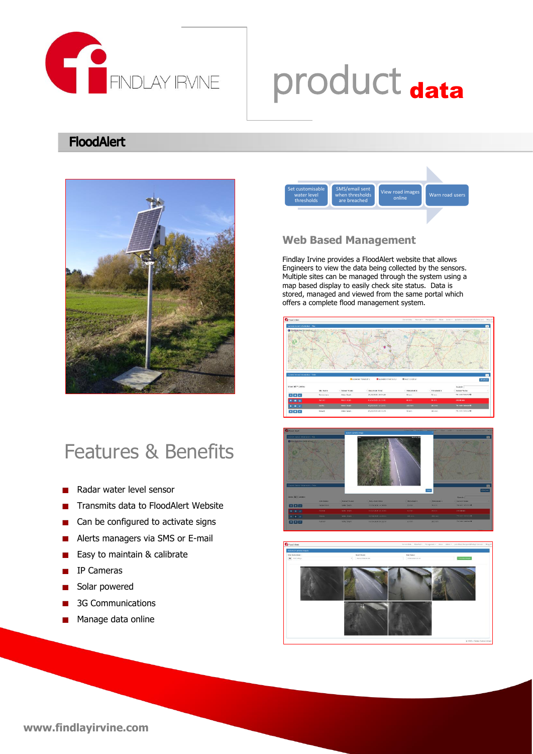

# product data

# **FloodAlert**



# Features & Benefits

- Radar water level sensor
- Transmits data to FloodAlert Website
- Can be configured to activate signs ٦
- Alerts managers via SMS or E-mail
- Easy to maintain & calibrate
- IP Cameras ш
- Solar powered
- 3G Communications
- Manage data online



# **Web Based Management**

Findlay Irvine provides a FloodAlert website that allows Engineers to view the data being collected by the sensors. Multiple sites can be managed through the system using a map based display to easily check site status. Data is stored, managed and viewed from the same portal which offers a complete flood management system.







# **www.findlayirvine.com**